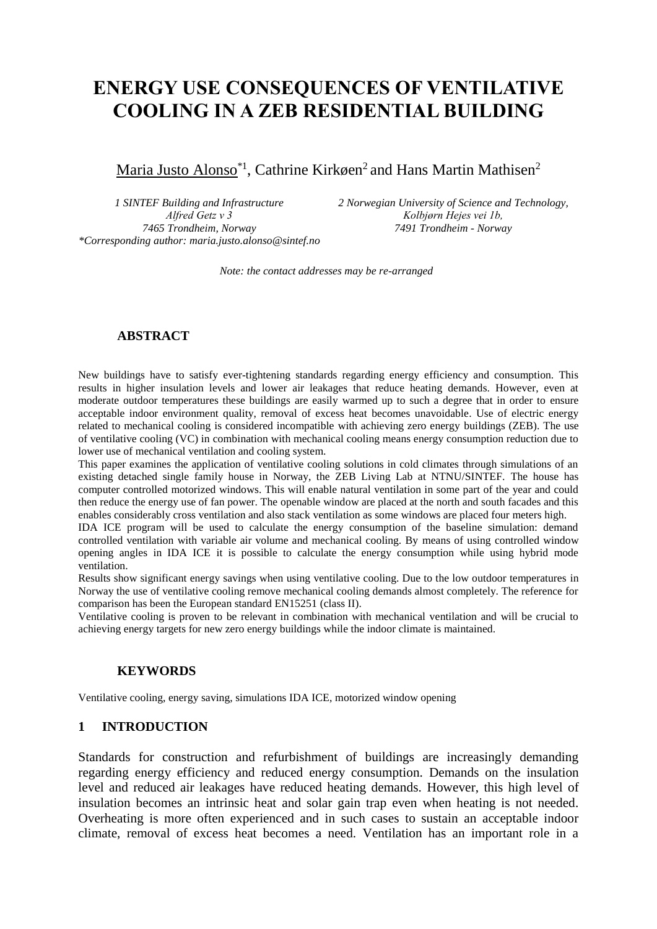# **ENERGY USE CONSEQUENCES OF VENTILATIVE COOLING IN A ZEB RESIDENTIAL BUILDING**

# Maria Justo Alonso<sup>\*1</sup>, Cathrine Kirkøen<sup>2</sup> and Hans Martin Mathisen<sup>2</sup>

*1 SINTEF Building and Infrastructure Alfred Getz v 3 7465 Trondheim, Norway \*Corresponding author: maria.justo.alonso@sintef.no* *2 Norwegian University of Science and Technology, Kolbjørn Hejes vei 1b, 7491 Trondheim - Norway*

*Note: the contact addresses may be re-arranged*

## **ABSTRACT**

New buildings have to satisfy ever-tightening standards regarding energy efficiency and consumption. This results in higher insulation levels and lower air leakages that reduce heating demands. However, even at moderate outdoor temperatures these buildings are easily warmed up to such a degree that in order to ensure acceptable indoor environment quality, removal of excess heat becomes unavoidable. Use of electric energy related to mechanical cooling is considered incompatible with achieving zero energy buildings (ZEB). The use of ventilative cooling (VC) in combination with mechanical cooling means energy consumption reduction due to lower use of mechanical ventilation and cooling system.

This paper examines the application of ventilative cooling solutions in cold climates through simulations of an existing detached single family house in Norway, the ZEB Living Lab at NTNU/SINTEF. The house has computer controlled motorized windows. This will enable natural ventilation in some part of the year and could then reduce the energy use of fan power. The openable window are placed at the north and south facades and this enables considerably cross ventilation and also stack ventilation as some windows are placed four meters high.

IDA ICE program will be used to calculate the energy consumption of the baseline simulation: demand controlled ventilation with variable air volume and mechanical cooling. By means of using controlled window opening angles in IDA ICE it is possible to calculate the energy consumption while using hybrid mode ventilation.

Results show significant energy savings when using ventilative cooling. Due to the low outdoor temperatures in Norway the use of ventilative cooling remove mechanical cooling demands almost completely. The reference for comparison has been the European standard EN15251 (class II).

Ventilative cooling is proven to be relevant in combination with mechanical ventilation and will be crucial to achieving energy targets for new zero energy buildings while the indoor climate is maintained.

#### **KEYWORDS**

Ventilative cooling, energy saving, simulations IDA ICE, motorized window opening

#### **1 INTRODUCTION**

Standards for construction and refurbishment of buildings are increasingly demanding regarding energy efficiency and reduced energy consumption. Demands on the insulation level and reduced air leakages have reduced heating demands. However, this high level of insulation becomes an intrinsic heat and solar gain trap even when heating is not needed. Overheating is more often experienced and in such cases to sustain an acceptable indoor climate, removal of excess heat becomes a need. Ventilation has an important role in a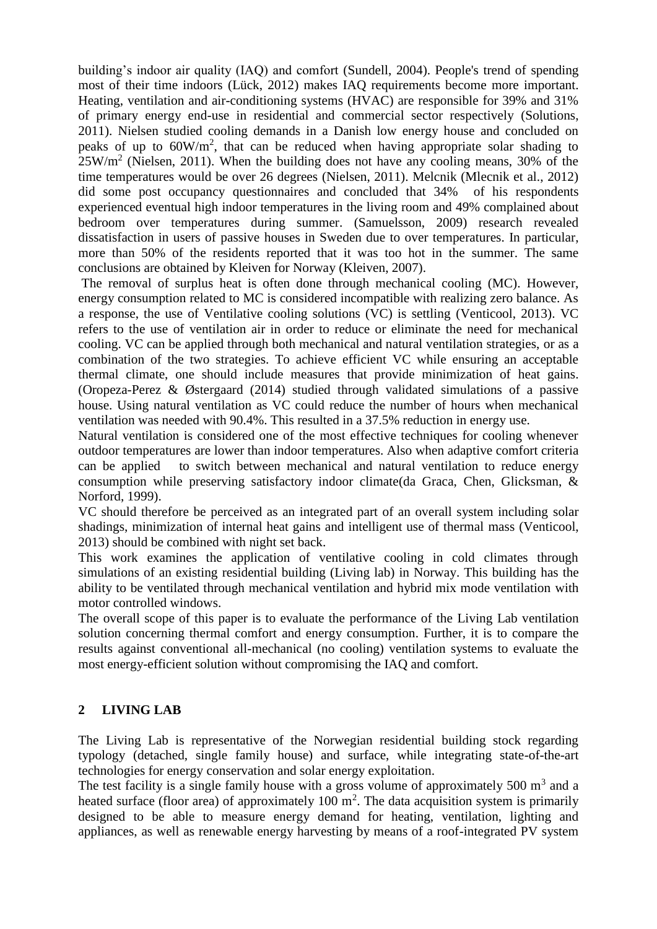building's indoor air quality (IAQ) and comfort (Sundell, 2004). People's trend of spending most of their time indoors (Lück, 2012) makes IAQ requirements become more important. Heating, ventilation and air-conditioning systems (HVAC) are responsible for 39% and 31% of primary energy end-use in residential and commercial sector respectively (Solutions, 2011). Nielsen studied cooling demands in a Danish low energy house and concluded on peaks of up to  $60W/m^2$ , that can be reduced when having appropriate solar shading to  $25W/m<sup>2</sup>$  (Nielsen, 2011). When the building does not have any cooling means, 30% of the time temperatures would be over 26 degrees (Nielsen, 2011). Melcnik (Mlecnik et al., 2012) did some post occupancy questionnaires and concluded that 34% of his respondents experienced eventual high indoor temperatures in the living room and 49% complained about bedroom over temperatures during summer. (Samuelsson, 2009) research revealed dissatisfaction in users of passive houses in Sweden due to over temperatures. In particular, more than 50% of the residents reported that it was too hot in the summer. The same conclusions are obtained by Kleiven for Norway (Kleiven, 2007).

The removal of surplus heat is often done through mechanical cooling (MC). However, energy consumption related to MC is considered incompatible with realizing zero balance. As a response, the use of Ventilative cooling solutions (VC) is settling (Venticool, 2013). VC refers to the use of ventilation air in order to reduce or eliminate the need for mechanical cooling. VC can be applied through both mechanical and natural ventilation strategies, or as a combination of the two strategies. To achieve efficient VC while ensuring an acceptable thermal climate, one should include measures that provide minimization of heat gains. (Oropeza-Perez & Østergaard (2014) studied through validated simulations of a passive house. Using natural ventilation as VC could reduce the number of hours when mechanical ventilation was needed with 90.4%. This resulted in a 37.5% reduction in energy use.

Natural ventilation is considered one of the most effective techniques for cooling whenever outdoor temperatures are lower than indoor temperatures. Also when adaptive comfort criteria can be applied to switch between mechanical and natural ventilation to reduce energy consumption while preserving satisfactory indoor climate(da Graca, Chen, Glicksman, & Norford, 1999).

VC should therefore be perceived as an integrated part of an overall system including solar shadings, minimization of internal heat gains and intelligent use of thermal mass (Venticool, 2013) should be combined with night set back.

This work examines the application of ventilative cooling in cold climates through simulations of an existing residential building (Living lab) in Norway. This building has the ability to be ventilated through mechanical ventilation and hybrid mix mode ventilation with motor controlled windows.

The overall scope of this paper is to evaluate the performance of the Living Lab ventilation solution concerning thermal comfort and energy consumption. Further, it is to compare the results against conventional all-mechanical (no cooling) ventilation systems to evaluate the most energy-efficient solution without compromising the IAQ and comfort.

## **2 LIVING LAB**

The Living Lab is representative of the Norwegian residential building stock regarding typology (detached, single family house) and surface, while integrating state-of-the-art technologies for energy conservation and solar energy exploitation.

The test facility is a single family house with a gross volume of approximately 500  $m<sup>3</sup>$  and a heated surface (floor area) of approximately 100  $m^2$ . The data acquisition system is primarily designed to be able to measure energy demand for heating, ventilation, lighting and appliances, as well as renewable energy harvesting by means of a roof-integrated PV system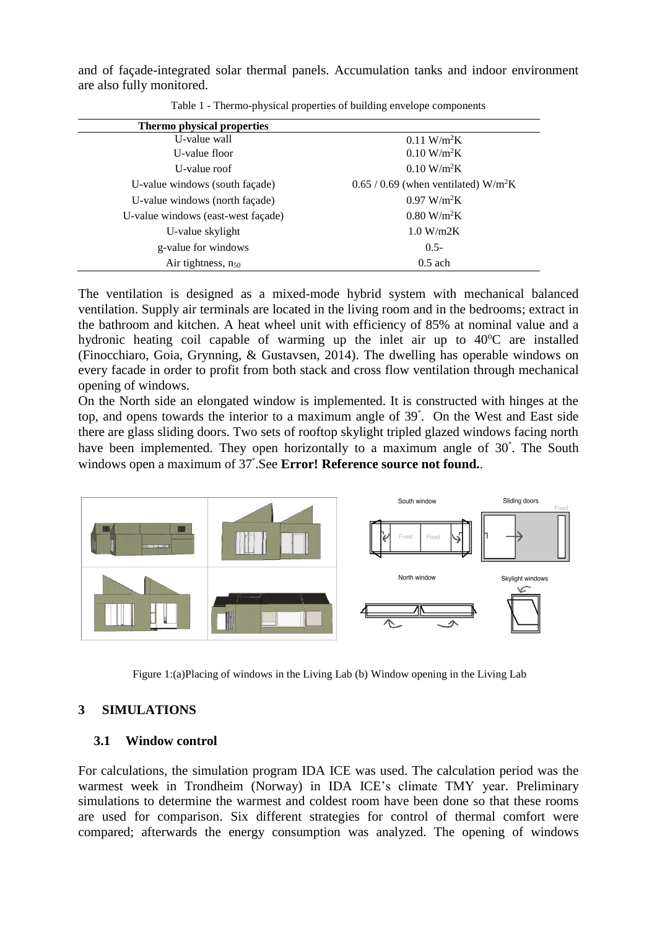and of façade-integrated solar thermal panels. Accumulation tanks and indoor environment are also fully monitored.

| Thermo physical properties         |                                                    |
|------------------------------------|----------------------------------------------------|
| U-value wall                       | $0.11 \text{ W/m}^2\text{K}$                       |
| U-value floor                      | $0.10 \text{ W/m}^2\text{K}$                       |
| U-value roof                       | $0.10 \text{ W/m}^2\text{K}$                       |
| U-value windows (south façade)     | $0.65 / 0.69$ (when ventilated) W/m <sup>2</sup> K |
| U-value windows (north façade)     | 0.97 W/m <sup>2</sup> K                            |
| U-value windows (east-west façade) | $0.80$ W/m <sup>2</sup> K                          |
| U-value skylight                   | 1.0 W/m2K                                          |
| g-value for windows                | $0.5 -$                                            |
| Air tightness, $n_{50}$            | $0.5$ ach                                          |

| Table 1 - Thermo-physical properties of building envelope components |  |  |  |  |
|----------------------------------------------------------------------|--|--|--|--|

The ventilation is designed as a mixed-mode hybrid system with mechanical balanced ventilation. Supply air terminals are located in the living room and in the bedrooms; extract in the bathroom and kitchen. A heat wheel unit with efficiency of 85% at nominal value and a hydronic heating coil capable of warming up the inlet air up to  $40^{\circ}$ C are installed (Finocchiaro, Goia, Grynning, & Gustavsen, 2014). The dwelling has operable windows on every facade in order to profit from both stack and cross flow ventilation through mechanical opening of windows.

On the North side an elongated window is implemented. It is constructed with hinges at the top, and opens towards the interior to a maximum angle of 39° . On the West and East side there are glass sliding doors. Two sets of rooftop skylight tripled glazed windows facing north have been implemented. They open horizontally to a maximum angle of 30° . The South windows open a maximum of 37° .See **Error! Reference source not found.**.



Figure 1:(a)Placing of windows in the Living Lab (b) Window opening in the Living Lab

## **3 SIMULATIONS**

#### **3.1 Window control**

For calculations, the simulation program IDA ICE was used. The calculation period was the warmest week in Trondheim (Norway) in IDA ICE's climate TMY year. Preliminary simulations to determine the warmest and coldest room have been done so that these rooms are used for comparison. Six different strategies for control of thermal comfort were compared; afterwards the energy consumption was analyzed. The opening of windows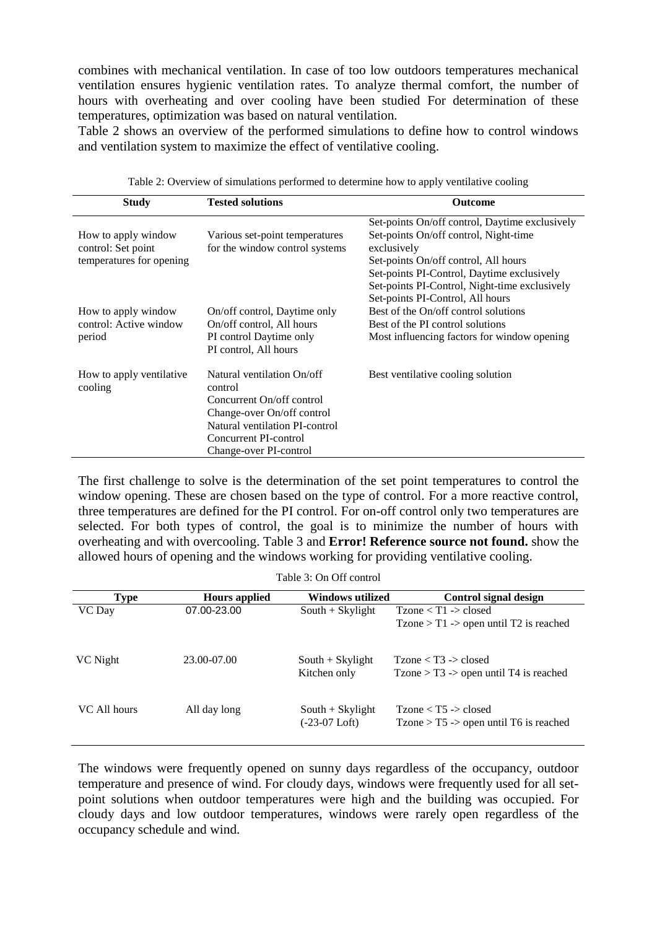combines with mechanical ventilation. In case of too low outdoors temperatures mechanical ventilation ensures hygienic ventilation rates. To analyze thermal comfort, the number of hours with overheating and over cooling have been studied For determination of these temperatures, optimization was based on natural ventilation.

[Table 2](#page-3-0) shows an overview of the performed simulations to define how to control windows and ventilation system to maximize the effect of ventilative cooling.

<span id="page-3-0"></span>

| <b>Study</b>                                                          | <b>Tested solutions</b>                                                                                                                                                               | <b>Outcome</b>                                                                                                                                                                                                                                                                    |
|-----------------------------------------------------------------------|---------------------------------------------------------------------------------------------------------------------------------------------------------------------------------------|-----------------------------------------------------------------------------------------------------------------------------------------------------------------------------------------------------------------------------------------------------------------------------------|
| How to apply window<br>control: Set point<br>temperatures for opening | Various set-point temperatures<br>for the window control systems                                                                                                                      | Set-points On/off control, Daytime exclusively<br>Set-points On/off control, Night-time<br>exclusively<br>Set-points On/off control, All hours<br>Set-points PI-Control, Daytime exclusively<br>Set-points PI-Control, Night-time exclusively<br>Set-points PI-Control, All hours |
| How to apply window<br>control: Active window<br>period               | On/off control, Daytime only<br>On/off control, All hours<br>PI control Daytime only<br>PI control, All hours                                                                         | Best of the On/off control solutions<br>Best of the PI control solutions<br>Most influencing factors for window opening                                                                                                                                                           |
| How to apply ventilative<br>cooling                                   | Natural ventilation On/off<br>control<br>Concurrent On/off control<br>Change-over On/off control<br>Natural ventilation PI-control<br>Concurrent PI-control<br>Change-over PI-control | Best ventilative cooling solution                                                                                                                                                                                                                                                 |

Table 2: Overview of simulations performed to determine how to apply ventilative cooling

The first challenge to solve is the determination of the set point temperatures to control the window opening. These are chosen based on the type of control. For a more reactive control, three temperatures are defined for the PI control. For on-off control only two temperatures are selected. For both types of control, the goal is to minimize the number of hours with overheating and with overcooling. [Table 3](#page-3-1) and **Error! Reference source not found.** show the allowed hours of opening and the windows working for providing ventilative cooling.

| Table 3: On Off control |  |  |
|-------------------------|--|--|
|-------------------------|--|--|

<span id="page-3-1"></span>

| <b>Type</b>  | <b>Hours applied</b> | Windows utilized                    | Control signal design                                              |
|--------------|----------------------|-------------------------------------|--------------------------------------------------------------------|
| VC Day       | 07.00-23.00          | $South + Skylight$                  | $Tzone < T1$ -> closed<br>$Tzone > T1$ -> open until T2 is reached |
| VC Night     | 23.00-07.00          | $South + Skylight$<br>Kitchen only  | $Tzone < T3$ -> closed<br>$Tzone > T3$ -> open until T4 is reached |
| VC All hours | All day long         | $South + Skylight$<br>(-23-07 Loft) | $Tzone < T5$ -> closed<br>$Tzone > T5$ -> open until T6 is reached |

The windows were frequently opened on sunny days regardless of the occupancy, outdoor temperature and presence of wind. For cloudy days, windows were frequently used for all setpoint solutions when outdoor temperatures were high and the building was occupied. For cloudy days and low outdoor temperatures, windows were rarely open regardless of the occupancy schedule and wind.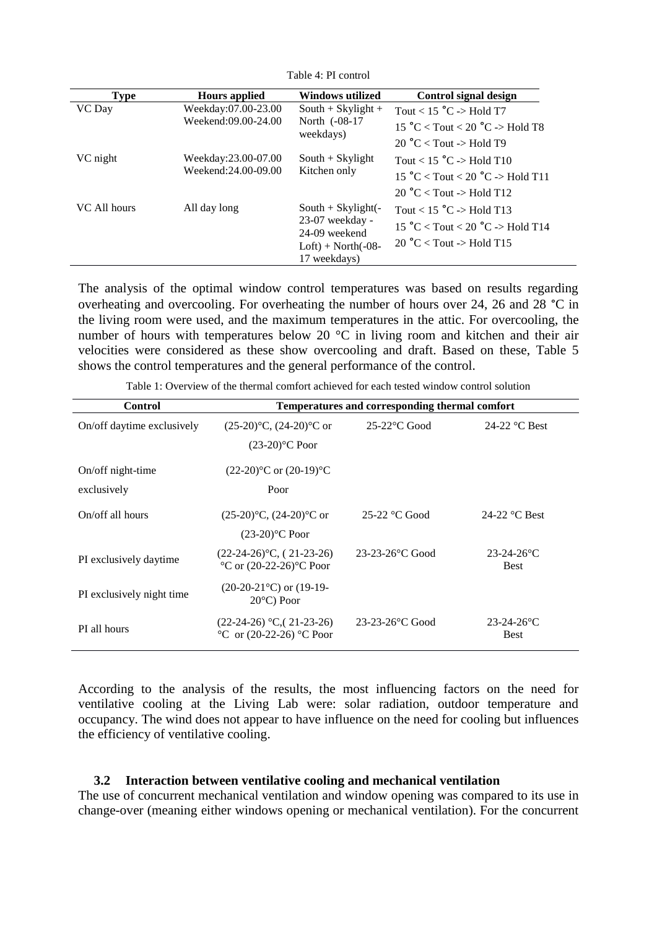| <b>Type</b>   | <b>Hours applied</b>                       | Windows utilized                                                                                           | Control signal design                                                                                                         |
|---------------|--------------------------------------------|------------------------------------------------------------------------------------------------------------|-------------------------------------------------------------------------------------------------------------------------------|
| <b>VC</b> Day | Weekday:07.00-23.00<br>Weekend:09.00-24.00 | $South + Skylight +$<br>North (-08-17                                                                      | Tout < $15^{\circ}$ C -> Hold T7<br>15 °C < Tout < 20 °C -> Hold T8                                                           |
|               | weekdays)                                  | $20 °C <$ Tout -> Hold T9                                                                                  |                                                                                                                               |
| VC night      | Weekday:23.00-07.00<br>Weekend:24.00-09.00 | $South + Skylight$<br>Kitchen only                                                                         | Tout < $15^{\circ}$ C -> Hold T10<br>$15 °C <$ Tout $< 20 °C$ -> Hold T11<br>20 $\textdegree$ C < Tout -> Hold T12            |
| VC All hours  | All day long                               | South $+$ Skylight( $-$<br>$23-07$ weekday -<br>24-09 weekend<br>$Loft$ ) + North $(-08$ -<br>17 weekdays) | Tout < $15^{\circ}$ C -> Hold T13<br>$15^{\circ}$ C < Tout < 20 $^{\circ}$ C -> Hold T14<br>20 $\degree$ C < Tout -> Hold T15 |

Table 4: PI control

The analysis of the optimal window control temperatures was based on results regarding overheating and overcooling. For overheating the number of hours over 24, 26 and 28 °C in the living room were used, and the maximum temperatures in the attic. For overcooling, the number of hours with temperatures below 20 °C in living room and kitchen and their air velocities were considered as these show overcooling and draft. Based on these, [Table 5](#page-5-0) shows the control temperatures and the general performance of the control.

Table 1: Overview of the thermal comfort achieved for each tested window control solution

| <b>Control</b>                   | Temperatures and corresponding thermal comfort                                    |                    |                                  |  |
|----------------------------------|-----------------------------------------------------------------------------------|--------------------|----------------------------------|--|
| On/off daytime exclusively       | $(25-20)$ °C, $(24-20)$ °C or<br>$(23-20)$ °C Poor                                | $25-22$ °C Good    | 24-22 $\mathrm{°C}$ Best         |  |
| On/off night-time<br>exclusively | $(22-20)$ °C or $(20-19)$ °C<br>Poor                                              |                    |                                  |  |
| On/off all hours                 | $(25-20)$ °C, $(24-20)$ °C or<br>$(23-20)$ °C Poor                                | $25-22$ °C Good    | 24-22 $\mathrm{^{\circ}C}$ Best  |  |
| PI exclusively daytime           | $(22-24-26)$ °C, (21-23-26)<br>$\rm ^{\circ}C$ or (20-22-26) $\rm ^{\circ}C$ Poor | $23-23-26$ °C Good | $23 - 24 - 26$ °C<br><b>Best</b> |  |
| PI exclusively night time        | $(20-20-21$ °C) or $(19-19-$<br>$20^{\circ}$ C) Poor                              |                    |                                  |  |
| PI all hours                     | $(22-24-26)$ °C, $(21-23-26)$<br>°C or $(20-22-26)$ °C Poor                       | $23-23-26$ °C Good | $23 - 24 - 26$ °C<br><b>Best</b> |  |

According to the analysis of the results, the most influencing factors on the need for ventilative cooling at the Living Lab were: solar radiation, outdoor temperature and occupancy. The wind does not appear to have influence on the need for cooling but influences the efficiency of ventilative cooling.

#### **3.2 Interaction between ventilative cooling and mechanical ventilation**

The use of concurrent mechanical ventilation and window opening was compared to its use in change-over (meaning either windows opening or mechanical ventilation). For the concurrent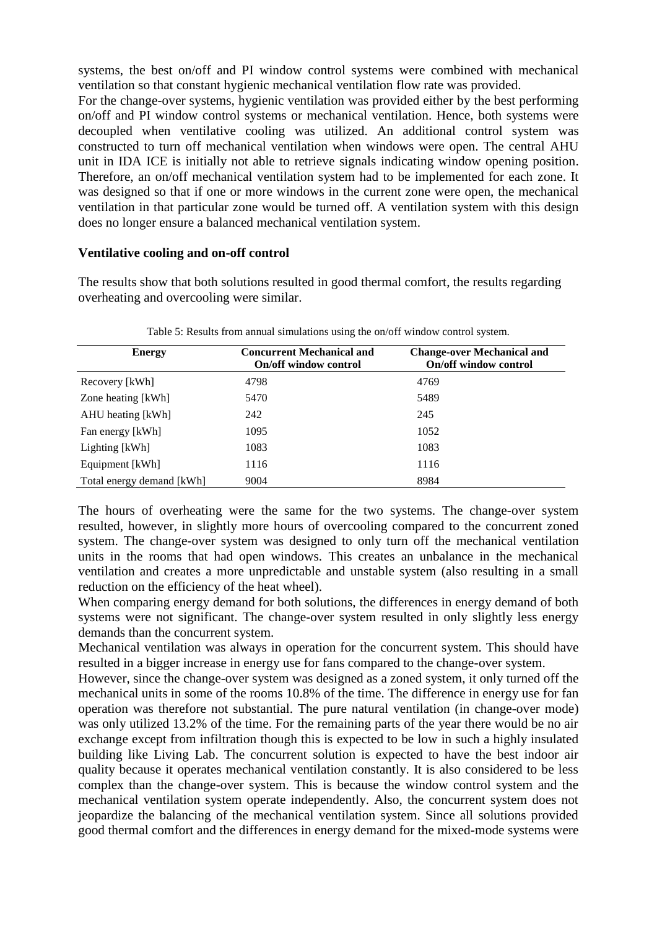systems, the best on/off and PI window control systems were combined with mechanical ventilation so that constant hygienic mechanical ventilation flow rate was provided. For the change-over systems, hygienic ventilation was provided either by the best performing on/off and PI window control systems or mechanical ventilation. Hence, both systems were decoupled when ventilative cooling was utilized. An additional control system was constructed to turn off mechanical ventilation when windows were open. The central AHU unit in IDA ICE is initially not able to retrieve signals indicating window opening position. Therefore, an on/off mechanical ventilation system had to be implemented for each zone. It was designed so that if one or more windows in the current zone were open, the mechanical ventilation in that particular zone would be turned off. A ventilation system with this design does no longer ensure a balanced mechanical ventilation system.

#### **Ventilative cooling and on-off control**

The results show that both solutions resulted in good thermal comfort, the results regarding overheating and overcooling were similar.

<span id="page-5-0"></span>

| <b>Energy</b>             | <b>Concurrent Mechanical and</b><br><b>On/off window control</b> | <b>Change-over Mechanical and</b><br><b>On/off window control</b> |
|---------------------------|------------------------------------------------------------------|-------------------------------------------------------------------|
| Recovery [kWh]            | 4798                                                             | 4769                                                              |
| Zone heating [kWh]        | 5470                                                             | 5489                                                              |
| AHU heating [kWh]         | 242                                                              | 245                                                               |
| Fan energy [kWh]          | 1095                                                             | 1052                                                              |
| Lighting [kWh]            | 1083                                                             | 1083                                                              |
| Equipment [kWh]           | 1116                                                             | 1116                                                              |
| Total energy demand [kWh] | 9004                                                             | 8984                                                              |

Table 5: Results from annual simulations using the on/off window control system.

The hours of overheating were the same for the two systems. The change-over system resulted, however, in slightly more hours of overcooling compared to the concurrent zoned system. The change-over system was designed to only turn off the mechanical ventilation units in the rooms that had open windows. This creates an unbalance in the mechanical ventilation and creates a more unpredictable and unstable system (also resulting in a small reduction on the efficiency of the heat wheel).

When comparing energy demand for both solutions, the differences in energy demand of both systems were not significant. The change-over system resulted in only slightly less energy demands than the concurrent system.

Mechanical ventilation was always in operation for the concurrent system. This should have resulted in a bigger increase in energy use for fans compared to the change-over system.

However, since the change-over system was designed as a zoned system, it only turned off the mechanical units in some of the rooms 10.8% of the time. The difference in energy use for fan operation was therefore not substantial. The pure natural ventilation (in change-over mode) was only utilized 13.2% of the time. For the remaining parts of the year there would be no air exchange except from infiltration though this is expected to be low in such a highly insulated building like Living Lab. The concurrent solution is expected to have the best indoor air quality because it operates mechanical ventilation constantly. It is also considered to be less complex than the change-over system. This is because the window control system and the mechanical ventilation system operate independently. Also, the concurrent system does not jeopardize the balancing of the mechanical ventilation system. Since all solutions provided good thermal comfort and the differences in energy demand for the mixed-mode systems were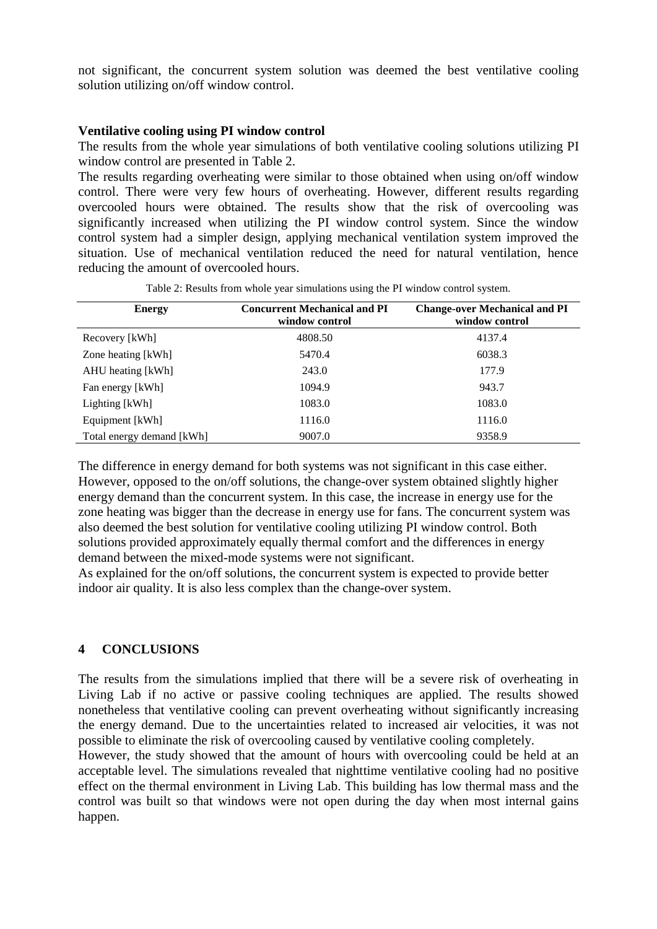not significant, the concurrent system solution was deemed the best ventilative cooling solution utilizing on/off window control.

#### **Ventilative cooling using PI window control**

The results from the whole year simulations of both ventilative cooling solutions utilizing PI window control are presented in [Table 2.](#page-6-0)

The results regarding overheating were similar to those obtained when using on/off window control. There were very few hours of overheating. However, different results regarding overcooled hours were obtained. The results show that the risk of overcooling was significantly increased when utilizing the PI window control system. Since the window control system had a simpler design, applying mechanical ventilation system improved the situation. Use of mechanical ventilation reduced the need for natural ventilation, hence reducing the amount of overcooled hours.

<span id="page-6-0"></span>

| <b>Energy</b>             | <b>Concurrent Mechanical and PI</b><br>window control | <b>Change-over Mechanical and PI</b><br>window control |
|---------------------------|-------------------------------------------------------|--------------------------------------------------------|
| Recovery [kWh]            | 4808.50                                               | 4137.4                                                 |
| Zone heating [kWh]        | 5470.4                                                | 6038.3                                                 |
| AHU heating [kWh]         | 243.0                                                 | 177.9                                                  |
| Fan energy [kWh]          | 1094.9                                                | 943.7                                                  |
| Lighting [kWh]            | 1083.0                                                | 1083.0                                                 |
| Equipment [kWh]           | 1116.0                                                | 1116.0                                                 |
| Total energy demand [kWh] | 9007.0                                                | 9358.9                                                 |

Table 2: Results from whole year simulations using the PI window control system.

The difference in energy demand for both systems was not significant in this case either. However, opposed to the on/off solutions, the change-over system obtained slightly higher energy demand than the concurrent system. In this case, the increase in energy use for the zone heating was bigger than the decrease in energy use for fans. The concurrent system was also deemed the best solution for ventilative cooling utilizing PI window control. Both solutions provided approximately equally thermal comfort and the differences in energy demand between the mixed-mode systems were not significant.

As explained for the on/off solutions, the concurrent system is expected to provide better indoor air quality. It is also less complex than the change-over system.

#### **4 CONCLUSIONS**

The results from the simulations implied that there will be a severe risk of overheating in Living Lab if no active or passive cooling techniques are applied. The results showed nonetheless that ventilative cooling can prevent overheating without significantly increasing the energy demand. Due to the uncertainties related to increased air velocities, it was not possible to eliminate the risk of overcooling caused by ventilative cooling completely.

However, the study showed that the amount of hours with overcooling could be held at an acceptable level. The simulations revealed that nighttime ventilative cooling had no positive effect on the thermal environment in Living Lab. This building has low thermal mass and the control was built so that windows were not open during the day when most internal gains happen.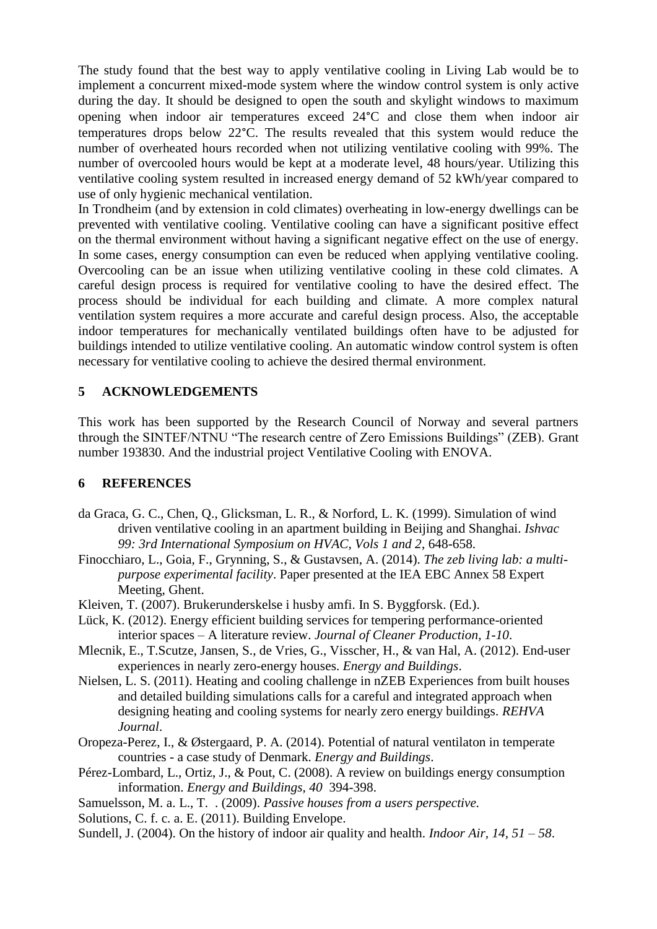The study found that the best way to apply ventilative cooling in Living Lab would be to implement a concurrent mixed-mode system where the window control system is only active during the day. It should be designed to open the south and skylight windows to maximum opening when indoor air temperatures exceed 24°C and close them when indoor air temperatures drops below 22°C. The results revealed that this system would reduce the number of overheated hours recorded when not utilizing ventilative cooling with 99%. The number of overcooled hours would be kept at a moderate level, 48 hours/year. Utilizing this ventilative cooling system resulted in increased energy demand of 52 kWh/year compared to use of only hygienic mechanical ventilation.

In Trondheim (and by extension in cold climates) overheating in low-energy dwellings can be prevented with ventilative cooling. Ventilative cooling can have a significant positive effect on the thermal environment without having a significant negative effect on the use of energy. In some cases, energy consumption can even be reduced when applying ventilative cooling. Overcooling can be an issue when utilizing ventilative cooling in these cold climates. A careful design process is required for ventilative cooling to have the desired effect. The process should be individual for each building and climate. A more complex natural ventilation system requires a more accurate and careful design process. Also, the acceptable indoor temperatures for mechanically ventilated buildings often have to be adjusted for buildings intended to utilize ventilative cooling. An automatic window control system is often necessary for ventilative cooling to achieve the desired thermal environment.

# **5 ACKNOWLEDGEMENTS**

This work has been supported by the Research Council of Norway and several partners through the SINTEF/NTNU "The research centre of Zero Emissions Buildings" (ZEB). Grant number 193830. And the industrial project Ventilative Cooling with ENOVA.

## **6 REFERENCES**

- da Graca, G. C., Chen, Q., Glicksman, L. R., & Norford, L. K. (1999). Simulation of wind driven ventilative cooling in an apartment building in Beijing and Shanghai. *Ishvac 99: 3rd International Symposium on HVAC, Vols 1 and 2*, 648-658.
- Finocchiaro, L., Goia, F., Grynning, S., & Gustavsen, A. (2014). *The zeb living lab: a multipurpose experimental facility*. Paper presented at the IEA EBC Annex 58 Expert Meeting, Ghent.
- Kleiven, T. (2007). Brukerunderskelse i husby amfi. In S. Byggforsk. (Ed.).
- Lück, K. (2012). Energy efficient building services for tempering performance-oriented interior spaces – A literature review. *Journal of Cleaner Production, 1-10*.
- Mlecnik, E., T.Scutze, Jansen, S., de Vries, G., Visscher, H., & van Hal, A. (2012). End-user experiences in nearly zero-energy houses. *Energy and Buildings*.
- Nielsen, L. S. (2011). Heating and cooling challenge in nZEB Experiences from built houses and detailed building simulations calls for a careful and integrated approach when designing heating and cooling systems for nearly zero energy buildings. *REHVA Journal*.
- Oropeza-Perez, I., & Østergaard, P. A. (2014). Potential of natural ventilaton in temperate countries - a case study of Denmark. *Energy and Buildings*.
- Pérez-Lombard, L., Ortiz, J., & Pout, C. (2008). A review on buildings energy consumption information. *Energy and Buildings, 40* 394-398.
- Samuelsson, M. a. L., T. . (2009). *Passive houses from a users perspective.*
- Solutions, C. f. c. a. E. (2011). Building Envelope.
- Sundell, J. (2004). On the history of indoor air quality and health. *Indoor Air, 14, 51 – 58*.